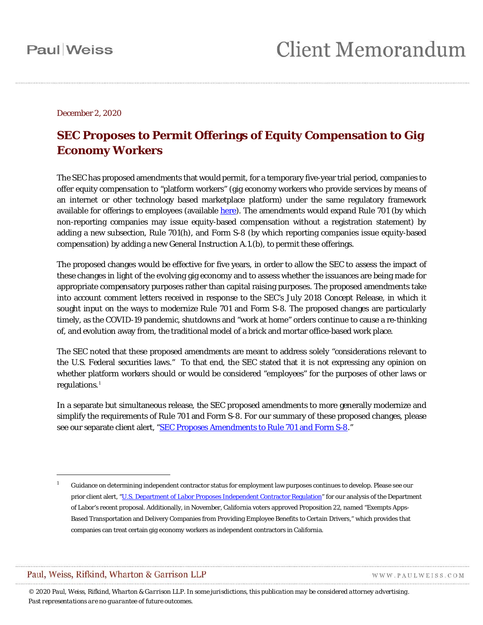December 2, 2020

### **SEC Proposes to Permit Offerings of Equity Compensation to Gig Economy Workers**

The SEC has proposed amendments that would permit, for a temporary five-year trial period, companies to offer equity compensation to "platform workers" (gig economy workers who provide services by means of an internet or other technology based marketplace platform) under the same regulatory framework available for offerings to employees (available [here\)](https://www.sec.gov/rules/proposed/2020/33-10892.pdf). The amendments would expand Rule 701 (by which non-reporting companies may issue equity-based compensation without a registration statement) by adding a new subsection, Rule 701(h), and Form S-8 (by which reporting companies issue equity-based compensation) by adding a new General Instruction A.1.(b), to permit these offerings.

The proposed changes would be effective for five years, in order to allow the SEC to assess the impact of these changes in light of the evolving gig economy and to assess whether the issuances are being made for appropriate compensatory purposes rather than capital raising purposes. The proposed amendments take into account comment letters received in response to the SEC's July 2018 Concept Release, in which it sought input on the ways to modernize Rule 701 and Form S-8. The proposed changes are particularly timely, as the COVID-19 pandemic, shutdowns and "work at home" orders continue to cause a re-thinking of, and evolution away from, the traditional model of a brick and mortar office-based work place.

The SEC noted that these proposed amendments are meant to address solely "considerations relevant to the U.S. Federal securities laws." To that end, the SEC stated that it is not expressing any opinion on whether platform workers should or would be considered "employees" for the purposes of other laws or regulations. [1](#page-0-0)

In a separate but simultaneous release, the SEC proposed amendments to more generally modernize and simplify the requirements of Rule 701 and Form S-8. For our summary of these proposed changes, please see our separate client alert, ["SEC Proposes Amendments to Rule 701 and Form S-8.](https://www.paulweiss.com/media/3980649/sec_proposes_amendments_to_rule_701_and_form_s-8_.pdf)"

Paul, Weiss, Rifkind, Wharton & Garrison LLP

 $\overline{a}$ 

WWW.PAULWEISS.COM

*© 2020 Paul, Weiss, Rifkind, Wharton & Garrison LLP. In some jurisdictions, this publication may be considered attorney advertising. Past representations are no guarantee of future outcomes.*

<span id="page-0-0"></span><sup>1</sup> Guidance on determining independent contractor status for employment law purposes continues to develop. Please see our prior client alert, ["U.S. Department of Labor Proposes Independent Contractor Regulation"](https://www.paulweiss.com/media/3980492/us_department_of_labor_proposes_independent_contractor_regulation.pdf) for our analysis of the Department of Labor's recent proposal. Additionally, in November, California voters approved Proposition 22, named "Exempts Apps-Based Transportation and Delivery Companies from Providing Employee Benefits to Certain Drivers," which provides that companies can treat certain gig economy workers as independent contractors in California.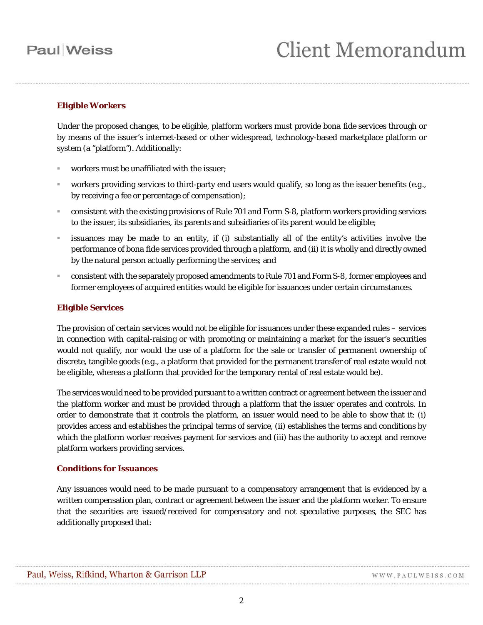### **Paul** Weiss

# **Client Memorandum**

### **Eligible Workers**

Under the proposed changes, to be eligible, platform workers must provide *bona fide* services through or by means of the issuer's internet-based or other widespread, technology-based marketplace platform or system (a "platform"). Additionally:

- workers must be unaffiliated with the issuer;
- workers providing services to third-party end users would qualify, so long as the issuer benefits (*e.g*., by receiving a fee or percentage of compensation);
- consistent with the existing provisions of Rule 701 and Form S-8, platform workers providing services to the issuer, its subsidiaries, its parents and subsidiaries of its parent would be eligible;
- issuances may be made to an entity, if (i) substantially all of the entity's activities involve the performance *of bona fide* services provided through a platform, and (ii) it is wholly and directly owned by the natural person actually performing the services; and
- consistent with the separately proposed amendments to Rule 701 and Form S-8, former employees and former employees of acquired entities would be eligible for issuances under certain circumstances.

#### **Eligible Services**

The provision of certain services would not be eligible for issuances under these expanded rules – services in connection with capital-raising or with promoting or maintaining a market for the issuer's securities would not qualify, nor would the use of a platform for the sale or transfer of permanent ownership of discrete, tangible goods (*e.g.*, a platform that provided for the permanent transfer of real estate would not be eligible, whereas a platform that provided for the temporary rental of real estate would be).

The services would need to be provided pursuant to a written contract or agreement between the issuer and the platform worker and must be provided through a platform that the issuer operates and controls. In order to demonstrate that it controls the platform, an issuer would need to be able to show that it: (i) provides access and establishes the principal terms of service, (ii) establishes the terms and conditions by which the platform worker receives payment for services and (iii) has the authority to accept and remove platform workers providing services.

#### **Conditions for Issuances**

Any issuances would need to be made pursuant to a compensatory arrangement that is evidenced by a written compensation plan, contract or agreement between the issuer and the platform worker. To ensure that the securities are issued/received for compensatory and not speculative purposes, the SEC has additionally proposed that: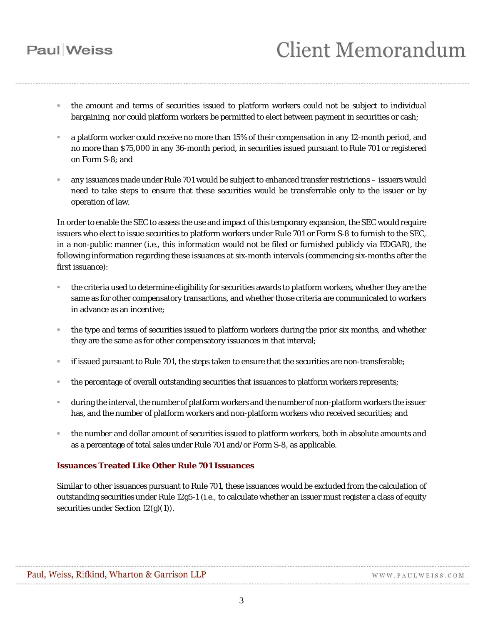## **Paul** Weiss

## **Client Memorandum**

- the amount and terms of securities issued to platform workers could not be subject to individual bargaining, nor could platform workers be permitted to elect between payment in securities or cash;
- a platform worker could receive no more than 15% of their compensation in any 12-month period, and no more than \$75,000 in any 36-month period, in securities issued pursuant to Rule 701 or registered on Form S-8; and
- any issuances made under Rule 701 would be subject to enhanced transfer restrictions issuers would need to take steps to ensure that these securities would be transferrable only to the issuer or by operation of law.

In order to enable the SEC to assess the use and impact of this temporary expansion, the SEC would require issuers who elect to issue securities to platform workers under Rule 701 or Form S-8 to furnish to the SEC, in a non-public manner (*i.e.*, this information would not be filed or furnished publicly via EDGAR), the following information regarding these issuances at six-month intervals (commencing six-months after the first issuance):

- the criteria used to determine eligibility for securities awards to platform workers, whether they are the same as for other compensatory transactions, and whether those criteria are communicated to workers in advance as an incentive;
- the type and terms of securities issued to platform workers during the prior six months, and whether they are the same as for other compensatory issuances in that interval;
- if issued pursuant to Rule 701, the steps taken to ensure that the securities are non-transferable;
- the percentage of overall outstanding securities that issuances to platform workers represents;
- during the interval, the number of platform workers and the number of non-platform workers the issuer has, and the number of platform workers and non-platform workers who received securities; and
- the number and dollar amount of securities issued to platform workers, both in absolute amounts and as a percentage of total sales under Rule 701 and/or Form S-8, as applicable.

#### **Issuances Treated Like Other Rule 701 Issuances**

Similar to other issuances pursuant to Rule 701, these issuances would be excluded from the calculation of outstanding securities under Rule 12g5-1 (*i.e.*, to calculate whether an issuer must register a class of equity securities under Section 12(g)(1)).